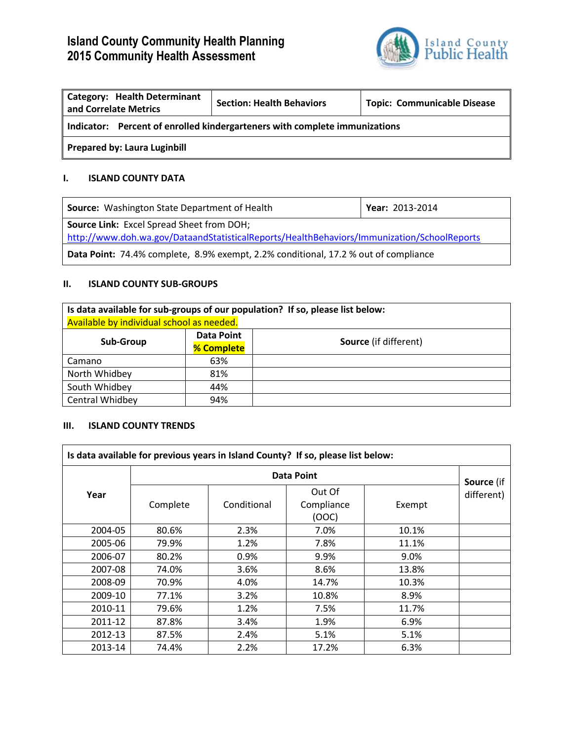# **Island County Community Health Planning 2015 Community Health Assessment**



| <b>Category: Health Determinant</b><br>and Correlate Metrics               | <b>Section: Health Behaviors</b> | <b>Topic: Communicable Disease</b> |  |  |
|----------------------------------------------------------------------------|----------------------------------|------------------------------------|--|--|
| Indicator: Percent of enrolled kindergarteners with complete immunizations |                                  |                                    |  |  |
| <b>Prepared by: Laura Luginbill</b>                                        |                                  |                                    |  |  |

## **I. ISLAND COUNTY DATA**

| <b>Source:</b> Washington State Department of Health                                                                                           | Year: 2013-2014 |  |
|------------------------------------------------------------------------------------------------------------------------------------------------|-----------------|--|
| <b>Source Link:</b> Excel Spread Sheet from DOH;<br>http://www.doh.wa.gov/DataandStatisticalReports/HealthBehaviors/Immunization/SchoolReports |                 |  |
| <b>Data Point:</b> 74.4% complete, 8.9% exempt, 2.2% conditional, 17.2 % out of compliance                                                     |                 |  |

### **II. ISLAND COUNTY SUB-GROUPS**

| Is data available for sub-groups of our population? If so, please list below: |                   |                              |  |
|-------------------------------------------------------------------------------|-------------------|------------------------------|--|
| Available by individual school as needed.                                     |                   |                              |  |
| Sub-Group                                                                     | <b>Data Point</b> | <b>Source</b> (if different) |  |
|                                                                               | % Complete        |                              |  |
| Camano                                                                        | 63%               |                              |  |
| North Whidbey                                                                 | 81%               |                              |  |
| South Whidbey                                                                 | 44%               |                              |  |
| Central Whidbey                                                               | 94%               |                              |  |

#### **III. ISLAND COUNTY TRENDS**

| Is data available for previous years in Island County? If so, please list below: |                   |             |                               |        |            |
|----------------------------------------------------------------------------------|-------------------|-------------|-------------------------------|--------|------------|
|                                                                                  | <b>Data Point</b> |             |                               |        | Source (if |
| Year                                                                             | Complete          | Conditional | Out Of<br>Compliance<br>(OOC) | Exempt | different) |
| 2004-05                                                                          | 80.6%             | 2.3%        | 7.0%                          | 10.1%  |            |
| 2005-06                                                                          | 79.9%             | 1.2%        | 7.8%                          | 11.1%  |            |
| 2006-07                                                                          | 80.2%             | 0.9%        | 9.9%                          | 9.0%   |            |
| 2007-08                                                                          | 74.0%             | 3.6%        | 8.6%                          | 13.8%  |            |
| 2008-09                                                                          | 70.9%             | 4.0%        | 14.7%                         | 10.3%  |            |
| 2009-10                                                                          | 77.1%             | 3.2%        | 10.8%                         | 8.9%   |            |
| 2010-11                                                                          | 79.6%             | 1.2%        | 7.5%                          | 11.7%  |            |
| 2011-12                                                                          | 87.8%             | 3.4%        | 1.9%                          | 6.9%   |            |
| 2012-13                                                                          | 87.5%             | 2.4%        | 5.1%                          | 5.1%   |            |
| 2013-14                                                                          | 74.4%             | 2.2%        | 17.2%                         | 6.3%   |            |